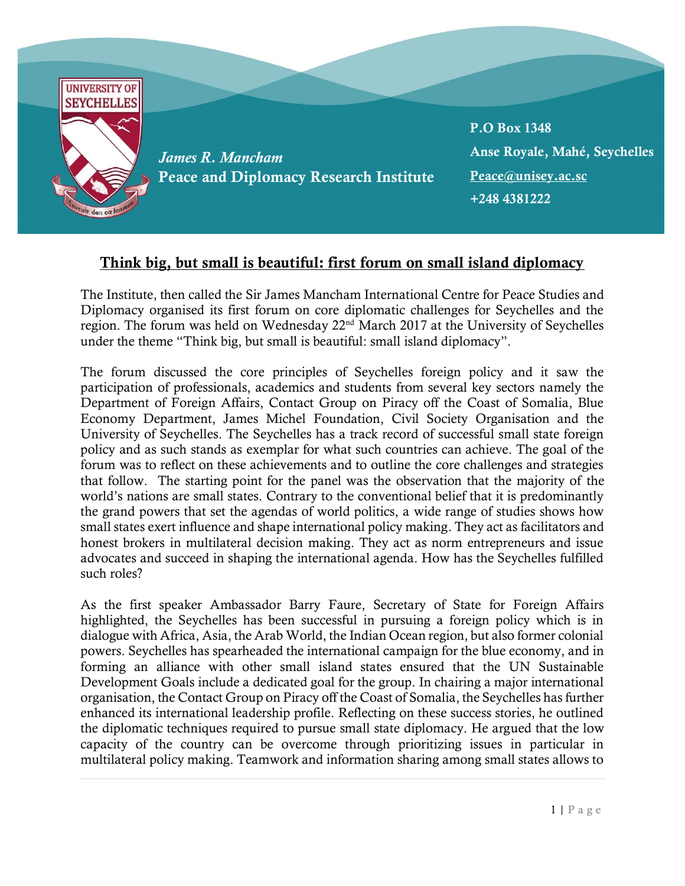

## Think big, but small is beautiful: first forum on small island diplomacy

The Institute, then called the Sir James Mancham International Centre for Peace Studies and Diplomacy organised its first forum on core diplomatic challenges for Seychelles and the region. The forum was held on Wednesday 22nd March 2017 at the University of Seychelles under the theme "Think big, but small is beautiful: small island diplomacy".

The forum discussed the core principles of Seychelles foreign policy and it saw the participation of professionals, academics and students from several key sectors namely the Department of Foreign Affairs, Contact Group on Piracy off the Coast of Somalia, Blue Economy Department, James Michel Foundation, Civil Society Organisation and the University of Seychelles. The Seychelles has a track record of successful small state foreign policy and as such stands as exemplar for what such countries can achieve. The goal of the forum was to reflect on these achievements and to outline the core challenges and strategies that follow. The starting point for the panel was the observation that the majority of the world's nations are small states. Contrary to the conventional belief that it is predominantly the grand powers that set the agendas of world politics, a wide range of studies shows how small states exert influence and shape international policy making. They act as facilitators and honest brokers in multilateral decision making. They act as norm entrepreneurs and issue advocates and succeed in shaping the international agenda. How has the Seychelles fulfilled such roles?

As the first speaker Ambassador Barry Faure, Secretary of State for Foreign Affairs highlighted, the Seychelles has been successful in pursuing a foreign policy which is in dialogue with Africa, Asia, the Arab World, the Indian Ocean region, but also former colonial powers. Seychelles has spearheaded the international campaign for the blue economy, and in forming an alliance with other small island states ensured that the UN Sustainable Development Goals include a dedicated goal for the group. In chairing a major international organisation, the Contact Group on Piracy off the Coast of Somalia, the Seychelles has further enhanced its international leadership profile. Reflecting on these success stories, he outlined the diplomatic techniques required to pursue small state diplomacy. He argued that the low capacity of the country can be overcome through prioritizing issues in particular in multilateral policy making. Teamwork and information sharing among small states allows to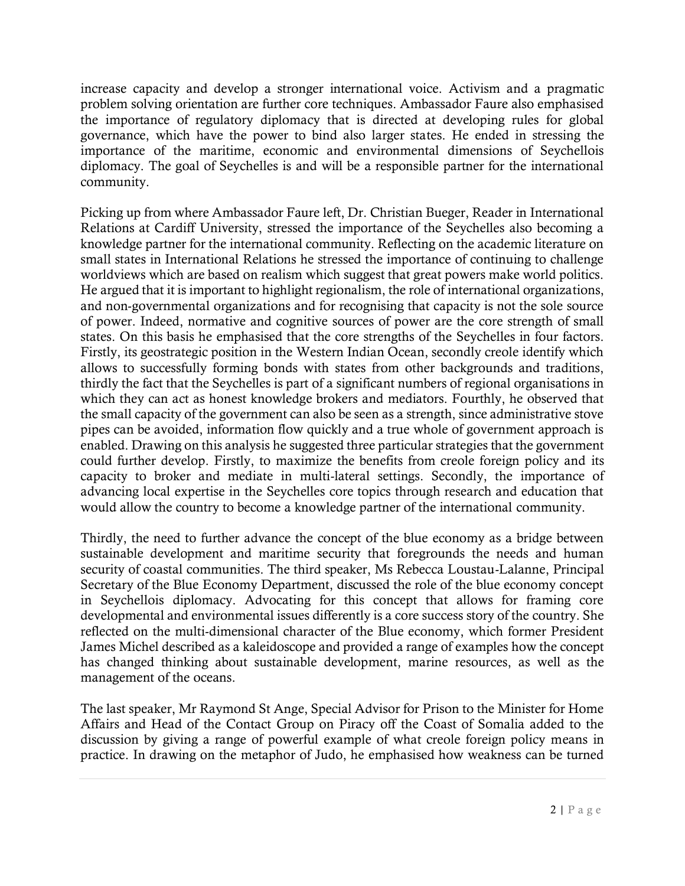increase capacity and develop a stronger international voice. Activism and a pragmatic problem solving orientation are further core techniques. Ambassador Faure also emphasised the importance of regulatory diplomacy that is directed at developing rules for global governance, which have the power to bind also larger states. He ended in stressing the importance of the maritime, economic and environmental dimensions of Seychellois diplomacy. The goal of Seychelles is and will be a responsible partner for the international community.

Picking up from where Ambassador Faure left, Dr. Christian Bueger, Reader in International Relations at Cardiff University, stressed the importance of the Seychelles also becoming a knowledge partner for the international community. Reflecting on the academic literature on small states in International Relations he stressed the importance of continuing to challenge worldviews which are based on realism which suggest that great powers make world politics. He argued that it is important to highlight regionalism, the role of international organizations, and non-governmental organizations and for recognising that capacity is not the sole source of power. Indeed, normative and cognitive sources of power are the core strength of small states. On this basis he emphasised that the core strengths of the Seychelles in four factors. Firstly, its geostrategic position in the Western Indian Ocean, secondly creole identify which allows to successfully forming bonds with states from other backgrounds and traditions, thirdly the fact that the Seychelles is part of a significant numbers of regional organisations in which they can act as honest knowledge brokers and mediators. Fourthly, he observed that the small capacity of the government can also be seen as a strength, since administrative stove pipes can be avoided, information flow quickly and a true whole of government approach is enabled. Drawing on this analysis he suggested three particular strategies that the government could further develop. Firstly, to maximize the benefits from creole foreign policy and its capacity to broker and mediate in multi-lateral settings. Secondly, the importance of advancing local expertise in the Seychelles core topics through research and education that would allow the country to become a knowledge partner of the international community.

Thirdly, the need to further advance the concept of the blue economy as a bridge between sustainable development and maritime security that foregrounds the needs and human security of coastal communities. The third speaker, Ms Rebecca Loustau-Lalanne, Principal Secretary of the Blue Economy Department, discussed the role of the blue economy concept in Seychellois diplomacy. Advocating for this concept that allows for framing core developmental and environmental issues differently is a core success story of the country. She reflected on the multi-dimensional character of the Blue economy, which former President James Michel described as a kaleidoscope and provided a range of examples how the concept has changed thinking about sustainable development, marine resources, as well as the management of the oceans.

The last speaker, Mr Raymond St Ange, Special Advisor for Prison to the Minister for Home Affairs and Head of the Contact Group on Piracy off the Coast of Somalia added to the discussion by giving a range of powerful example of what creole foreign policy means in practice. In drawing on the metaphor of Judo, he emphasised how weakness can be turned